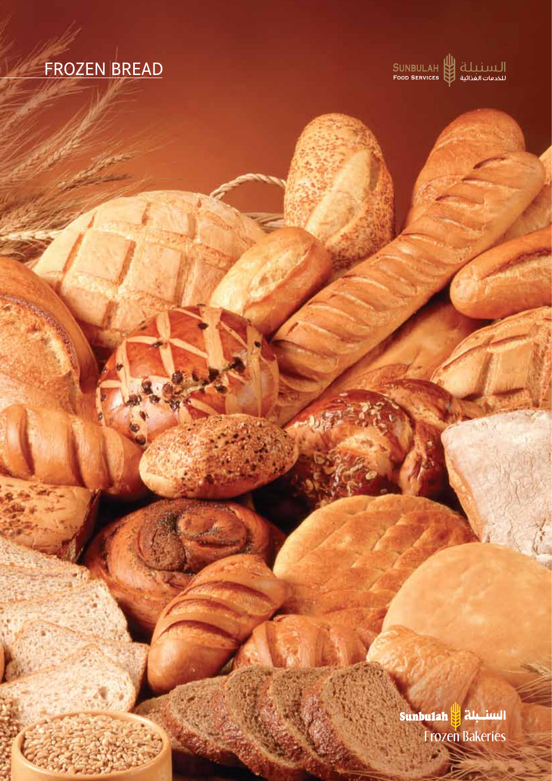# FROZEN BREAD

|<br>| SUNBULAH || الله العدائية ||<br>| سخدمات الغذائية || Food Services

السنسبلة <mark>و</mark> Sunbulah **Frozen Bakeries**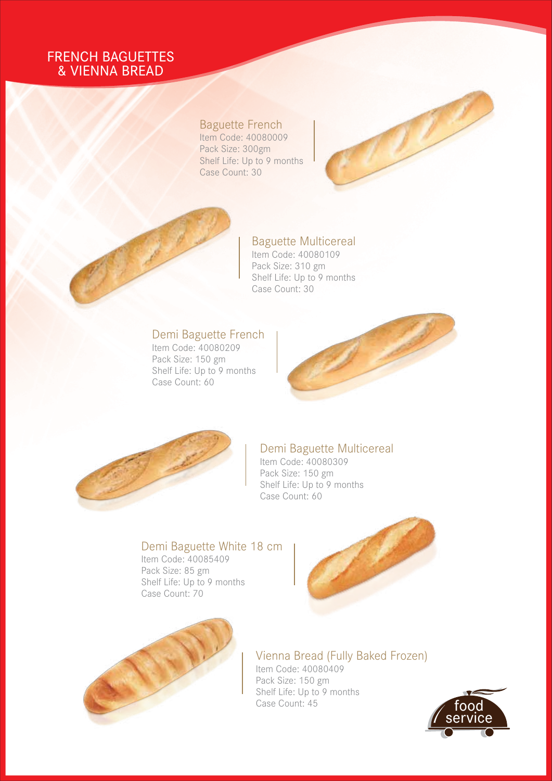## FRENCH BAGUETTES & VIENNA BREAD

### Baguette French

Item Code: 40080009 Pack Size: 300gm Shelf Life: Up to 9 months Case Count: 30



## Baguette Multicereal

Item Code: 40080109 Pack Size: 310 gm Shelf Life: Up to 9 months Case Count: 30

## Demi Baguette French

Item Code: 40080209 Pack Size: 150 gm Shelf Life: Up to 9 months Case Count: 60





#### Demi Baguette Multicereal

Item Code: 40080309 Pack Size: 150 gm Shelf Life: Up to 9 months Case Count: 60

### Demi Baguette White 18 cm

Item Code: 40085409 Pack Size: 85 gm Shelf Life: Up to 9 months Case Count: 70





## Vienna Bread (Fully Baked Frozen)

Item Code: 40080409 Pack Size: 150 gm Shelf Life: Up to 9 months Case Count: 45

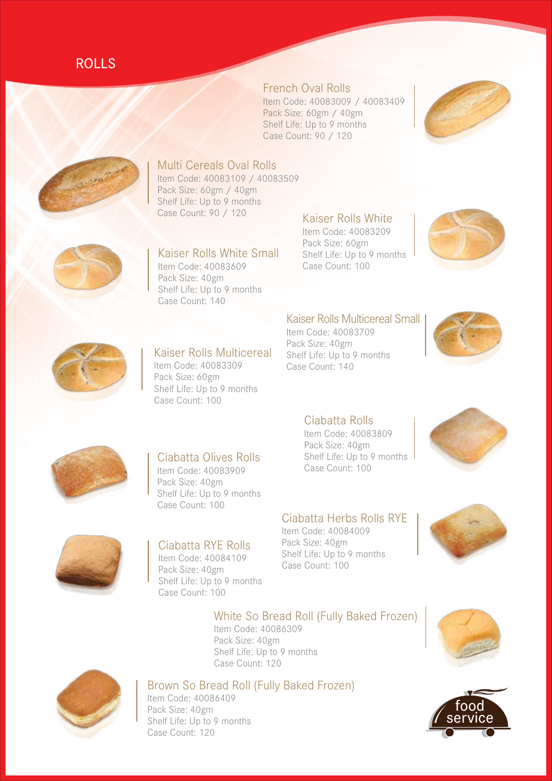## ROLLS

### French Oval Rolls

Item Code: 40083009 / 40083409 Pack Size: 60gm / 40gm Shelf Life: Up to 9 months Case Count: 90 / 120





## Multi Cereals Oval Rolls

Item Code: 40083109 / 40083509 Pack Size: 60gm / 40gm Shelf Life: Up to 9 months Case Count: 90 / 120



Kaiser Rolls White Small Item Code: 40083609 Pack Size: 40gm Shelf Life: Up to 9 months Case Count: 140

#### Kaiser Rolls White

Item Code: 40083209 Pack Size: 60gm Shelf Life: Up to 9 months Case Count: 100



#### Kaiser Rolls Multicereal Small Item Code: 40083709

Pack Size: 40gm Shelf Life: Up to 9 months Case Count: 140





#### Kaiser Rolls Multicereal

Item Code: 40083309 Pack Size: 60gm Shelf Life: Up to 9 months Case Count: 100

#### Ciabatta Rolls

Item Code: 40083809 Pack Size: 40gm Shelf Life: Up to 9 months Case Count: 100





## Ciabatta Olives Rolls

Item Code: 40083909 Pack Size: 40gm Shelf Life: Up to 9 months Case Count: 100

#### Ciabatta Herbs Rolls RYE Item Code: 40084009

Pack Size: 40gm Shelf Life: Up to 9 months Case Count: 100





## Ciabatta RYE Rolls

Item Code: 40084109 Pack Size: 40gm Shelf Life: Up to 9 months Case Count: 100

#### White So Bread Roll (Fully Baked Frozen)

Item Code: 40086309 Pack Size: 40gm Shelf Life: Up to 9 months Case Count: 120





### Brown So Bread Roll (Fully Baked Frozen)

Item Code: 40086409 Pack Size: 40gm Shelf Life: Up to 9 months Case Count: 120

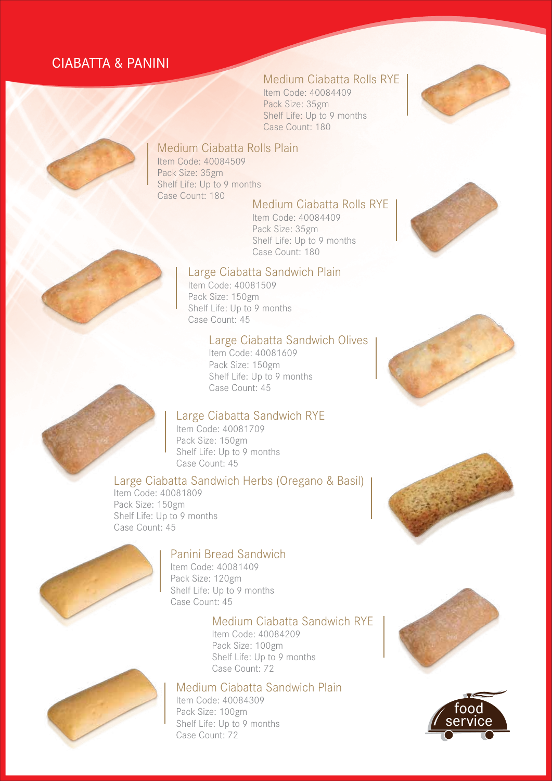## CIABATTA & PANINI

### Medium Ciabatta Rolls RYE

Item Code: 40084409 Pack Size: 35gm Shelf Life: Up to 9 months Case Count: 180





#### Medium Ciabatta Rolls Plain

Item Code: 40084509 Pack Size: 35gm Shelf Life: Up to 9 months Case Count: 180

#### Medium Ciabatta Rolls RYE

Item Code: 40084409 Pack Size: 35gm Shelf Life: Up to 9 months Case Count: 180

#### Large Ciabatta Sandwich Plain

Item Code: 40081509 Pack Size: 150gm Shelf Life: Up to 9 months Case Count: 45

#### Large Ciabatta Sandwich Olives

Item Code: 40081609 Pack Size: 150gm Shelf Life: Up to 9 months Case Count: 45

#### Large Ciabatta Sandwich RYE

Item Code: 40081709 Pack Size: 150gm Shelf Life: Up to 9 months Case Count: 45

#### Large Ciabatta Sandwich Herbs (Oregano & Basil)

Item Code: 40081809 Pack Size: 150gm Shelf Life: Up to 9 months Case Count: 45

## Panini Bread Sandwich

Item Code: 40081409 Pack Size: 120gm Shelf Life: Up to 9 months Case Count: 45

#### Medium Ciabatta Sandwich RYE

Item Code: 40084209 Pack Size: 100gm Shelf Life: Up to 9 months Case Count: 72

## Medium Ciabatta Sandwich Plain

Item Code: 40084309 Pack Size: 100gm Shelf Life: Up to 9 months Case Count: 72













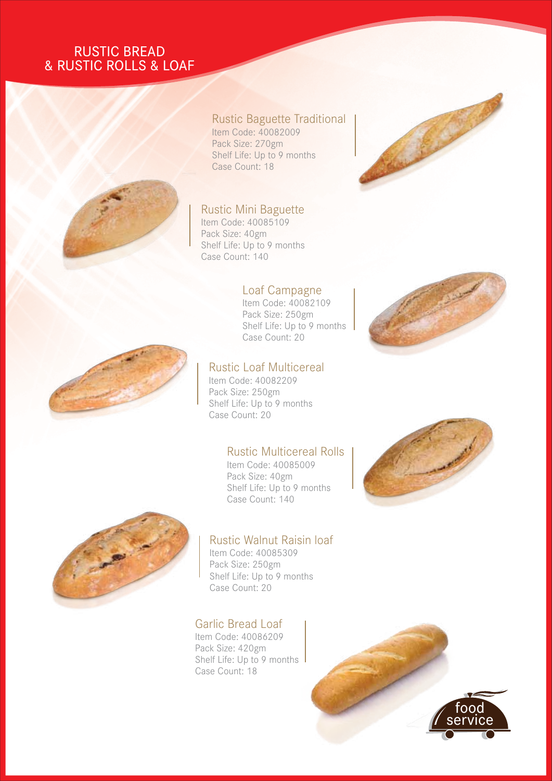## RUSTIC BREAD & RUSTIC ROLLS & LOAF



#### Rustic Baguette Traditional Item Code: 40082009

Pack Size: 270gm Shelf Life: Up to 9 months Case Count: 18

#### Rustic Mini Baguette

Item Code: 40085109 Pack Size: 40gm Shelf Life: Up to 9 months Case Count: 140

#### Loaf Campagne

Item Code: 40082109 Pack Size: 250gm Shelf Life: Up to 9 months Case Count: 20





#### Rustic Loaf Multicereal

Item Code: 40082209 Pack Size: 250gm Shelf Life: Up to 9 months Case Count: 20

#### Rustic Multicereal Rolls

Item Code: 40085009 Pack Size: 40gm Shelf Life: Up to 9 months Case Count: 140



#### Rustic Walnut Raisin loaf Item Code: 40085309

Pack Size: 250gm Shelf Life: Up to 9 months Case Count: 20

Garlic Bread Loaf Item Code: 40086209 Pack Size: 420gm Shelf Life: Up to 9 months Case Count: 18

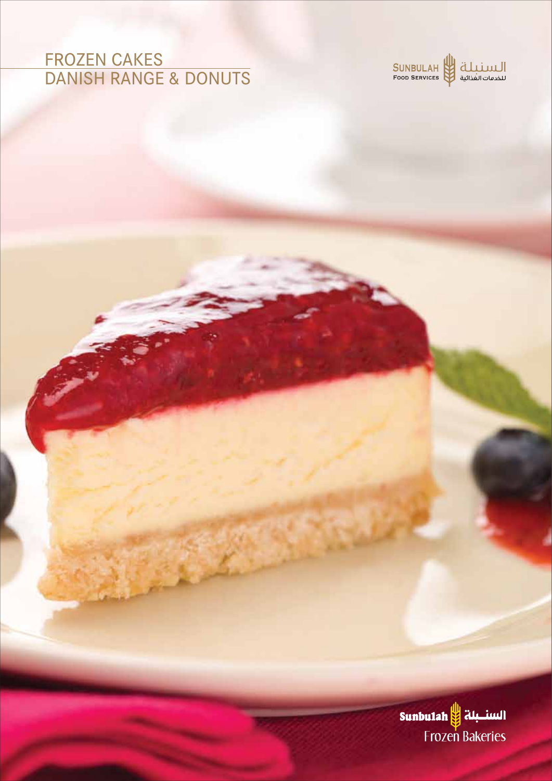## FROZEN CAKES DANISH RANGE & DONUTS



السنسبلة ||Sunbu1ah Frozen Bakeries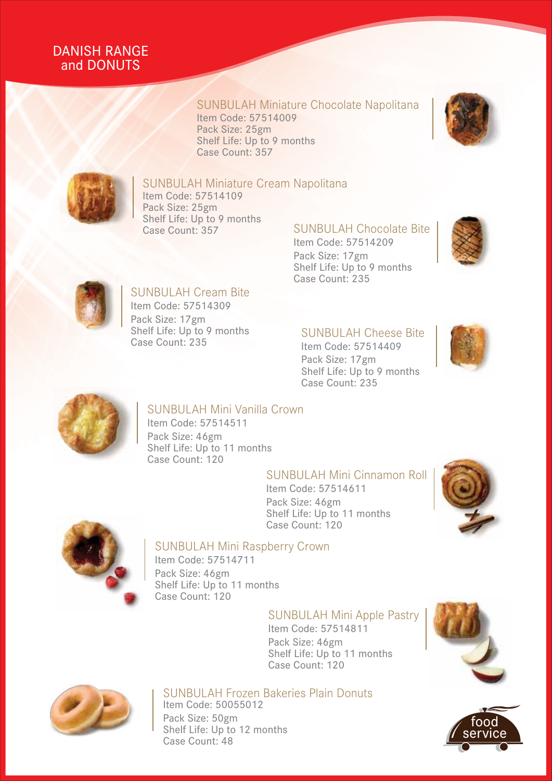## DANISH RANGE and DONUTS

## SUNBULAH Miniature Chocolate Napolitana

Item Code: 57514009 Pack Size: 25gm Shelf Life: Up to 9 months Case Count: 357





#### SUNBULAH Miniature Cream Napolitana

Item Code: 57514109 Pack Size: 25gm Shelf Life: Up to 9 months<br>Case Count: 357

## SUNBULAH Chocolate Bite

Item Code: 57514209 Pack Size: 17gm Shelf Life: Up to 9 months Case Count: 235





## SUNBULAH Cream Bite Item Code: 57514309

Pack Size: 17gm Shelf Life: Up to 9 months Case Count: 235

## SUNBULAH Cheese Bite

Item Code: 57514409 Pack Size: 17gm Shelf Life: Up to 9 months Case Count: 235





## SUNBULAH Mini Vanilla Crown

Item Code: 57514511 Pack Size: 46gm Shelf Life: Up to 11 months Case Count: 120

#### SUNBULAH Mini Cinnamon Roll

Item Code: 57514611 Pack Size: 46gm Shelf Life: Up to 11 months Case Count: 120





## SUNBULAH Mini Raspberry Crown

Item Code: 57514711 Pack Size: 46gm Shelf Life: Up to 11 months Case Count: 120

#### SUNBULAH Mini Apple Pastry

Item Code: 57514811 Pack Size: 46gm Shelf Life: Up to 11 months Case Count: 120





#### SUNBULAH Frozen Bakeries Plain Donuts Item Code: 50055012

Pack Size: 50gm Shelf Life: Up to 12 months Case Count: 48

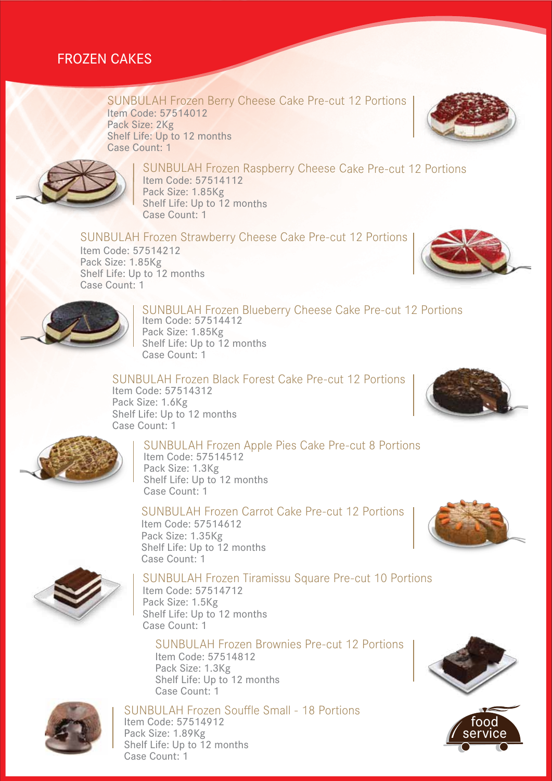## FROZEN CAKES

#### SUNBULAH Frozen Berry Cheese Cake Pre-cut 12 Portions Item Code: 57514012 Pack Size: 2Kg Shelf Life: Up to 12 months Case Count: 1





#### SUNBULAH Frozen Raspberry Cheese Cake Pre-cut 12 Portions Item Code: 57514112 Pack Size: 1.85Kg Shelf Life: Up to 12 months

SUNBULAH Frozen Strawberry Cheese Cake Pre-cut 12 Portions Item Code: 57514212 Pack Size: 1.85Kg Shelf Life: Up to 12 months Case Count: 1

Case Count: 1





#### SUNBULAH Frozen Blueberry Cheese Cake Pre-cut 12 Portions Item Code: 57514412 Pack Size: 1.85Kg Shelf Life: Up to 12 months Case Count: 1

SUNBULAH Frozen Black Forest Cake Pre-cut 12 Portions Item Code: 57514312 Pack Size: 1.6Kg Shelf Life: Up to 12 months Case Count: 1





## SUNBULAH Frozen Apple Pies Cake Pre-cut 8 Portions

Item Code: 57514512 Pack Size: 1.3Kg Shelf Life: Up to 12 months Case Count: 1

#### SUNBULAH Frozen Carrot Cake Pre-cut 12 Portions

Item Code: 57514612 Pack Size: 1.35Kg Shelf Life: Up to 12 months Case Count: 1



## SUNBULAH Frozen Tiramissu Square Pre-cut 10 Portions

Item Code: 57514712 Pack Size: 1.5Kg Shelf Life: Up to 12 months Case Count: 1

#### SUNBULAH Frozen Brownies Pre-cut 12 Portions Item Code: 57514812 Pack Size: 1.3Kg Shelf Life: Up to 12 months Case Count: 1



SUNBULAH Frozen Souffle Small - 18 Portions Item Code: 57514912 Pack Size: 1.89Kg Shelf Life: Up to 12 months Case Count: 1



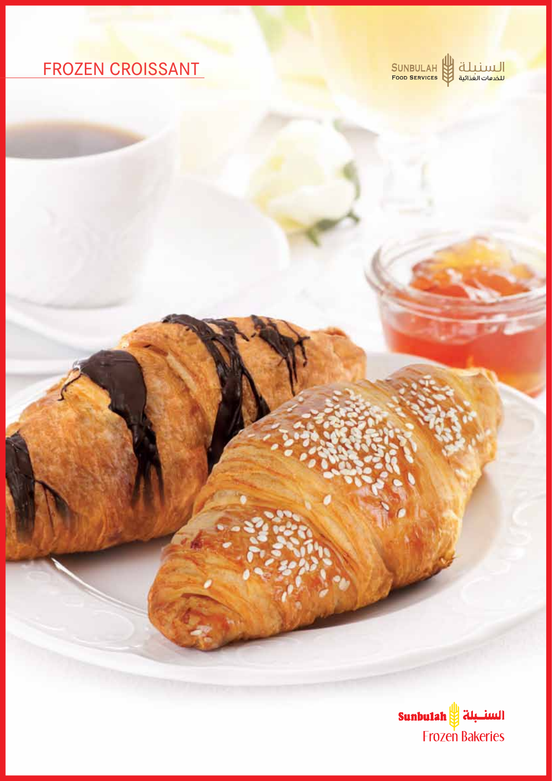# FROZEN CROISSANT

SUNBULAH السنبلة